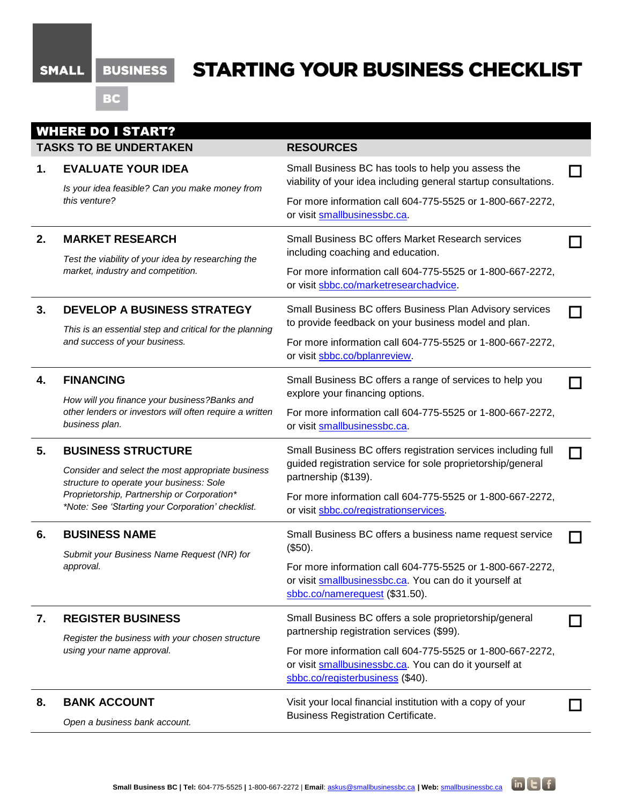## SMALL BUSINESS

# **STARTING YOUR BUSINESS CHECKLIST**

BC

| <b>WHERE DO I START?</b> |                                                                                                                                                                                                                                |                                                                                                                                                         |  |  |  |
|--------------------------|--------------------------------------------------------------------------------------------------------------------------------------------------------------------------------------------------------------------------------|---------------------------------------------------------------------------------------------------------------------------------------------------------|--|--|--|
|                          | <b>TASKS TO BE UNDERTAKEN</b>                                                                                                                                                                                                  | <b>RESOURCES</b>                                                                                                                                        |  |  |  |
| 1.                       | <b>EVALUATE YOUR IDEA</b>                                                                                                                                                                                                      | Small Business BC has tools to help you assess the<br>viability of your idea including general startup consultations.                                   |  |  |  |
|                          | Is your idea feasible? Can you make money from<br>this venture?                                                                                                                                                                | For more information call 604-775-5525 or 1-800-667-2272,<br>or visit smallbusinessbc.ca.                                                               |  |  |  |
| 2.                       | <b>MARKET RESEARCH</b>                                                                                                                                                                                                         | <b>Small Business BC offers Market Research services</b><br>including coaching and education.                                                           |  |  |  |
|                          | Test the viability of your idea by researching the<br>market, industry and competition.                                                                                                                                        | For more information call 604-775-5525 or 1-800-667-2272,<br>or visit sbbc.co/marketresearchadvice.                                                     |  |  |  |
| 3.                       | <b>DEVELOP A BUSINESS STRATEGY</b><br>This is an essential step and critical for the planning<br>and success of your business.                                                                                                 | Small Business BC offers Business Plan Advisory services<br>to provide feedback on your business model and plan.                                        |  |  |  |
|                          |                                                                                                                                                                                                                                | For more information call 604-775-5525 or 1-800-667-2272,<br>or visit sbbc.co/bplanreview.                                                              |  |  |  |
| 4.                       | <b>FINANCING</b><br>How will you finance your business?Banks and<br>other lenders or investors will often require a written<br>business plan.                                                                                  | Small Business BC offers a range of services to help you<br>explore your financing options.                                                             |  |  |  |
|                          |                                                                                                                                                                                                                                | For more information call 604-775-5525 or 1-800-667-2272,<br>or visit smallbusinessbc.ca.                                                               |  |  |  |
| 5.                       | <b>BUSINESS STRUCTURE</b><br>Consider and select the most appropriate business<br>structure to operate your business: Sole<br>Proprietorship, Partnership or Corporation*<br>*Note: See 'Starting your Corporation' checklist. | Small Business BC offers registration services including full<br>guided registration service for sole proprietorship/general<br>partnership (\$139).    |  |  |  |
|                          |                                                                                                                                                                                                                                | For more information call 604-775-5525 or 1-800-667-2272,<br>or visit sbbc.co/registrationservices.                                                     |  |  |  |
| 6.                       | <b>BUSINESS NAME</b>                                                                                                                                                                                                           | Small Business BC offers a business name request service<br>(\$50).                                                                                     |  |  |  |
|                          | Submit your Business Name Request (NR) for<br>approval.                                                                                                                                                                        | For more information call 604-775-5525 or 1-800-667-2272,<br>or visit smallbusinessbc.ca. You can do it yourself at<br>sbbc.co/namerequest (\$31.50).   |  |  |  |
| 7.                       | <b>REGISTER BUSINESS</b><br>Register the business with your chosen structure<br>using your name approval.                                                                                                                      | Small Business BC offers a sole proprietorship/general<br>partnership registration services (\$99).                                                     |  |  |  |
|                          |                                                                                                                                                                                                                                | For more information call 604-775-5525 or 1-800-667-2272,<br>or visit smallbusinessbc.ca. You can do it yourself at<br>sbbc.co/registerbusiness (\$40). |  |  |  |
| 8.                       | <b>BANK ACCOUNT</b>                                                                                                                                                                                                            | Visit your local financial institution with a copy of your<br><b>Business Registration Certificate.</b>                                                 |  |  |  |
|                          | Open a business bank account.                                                                                                                                                                                                  |                                                                                                                                                         |  |  |  |

 $in$   $E$   $f$